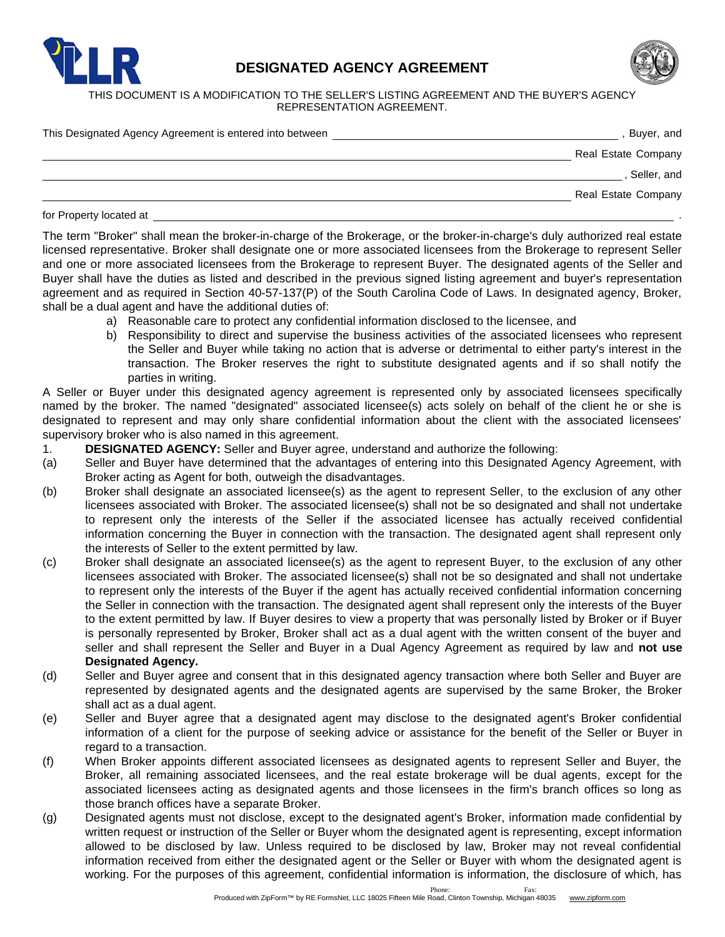

## **DESIGNATED AGENCY AGREEMENT**



THIS DOCUMENT IS A MODIFICATION TO THE SELLER'S LISTING AGREEMENT AND THE BUYER'S AGENCY REPRESENTATION AGREEMENT.

| This Designated Agency Agreement is entered into between | Buyer, and          |
|----------------------------------------------------------|---------------------|
|                                                          | Real Estate Company |
|                                                          | Seller, and         |
|                                                          | Real Estate Company |
|                                                          |                     |

for Property located at

The term "Broker" shall mean the broker-in-charge of the Brokerage, or the broker-in-charge's duly authorized real estate licensed representative. Broker shall designate one or more associated licensees from the Brokerage to represent Seller and one or more associated licensees from the Brokerage to represent Buyer. The designated agents of the Seller and Buyer shall have the duties as listed and described in the previous signed listing agreement and buyer's representation agreement and as required in Section 40-57-137(P) of the South Carolina Code of Laws. In designated agency, Broker, shall be a dual agent and have the additional duties of:

- a) Reasonable care to protect any confidential information disclosed to the licensee, and
- b) Responsibility to direct and supervise the business activities of the associated licensees who represent the Seller and Buyer while taking no action that is adverse or detrimental to either party's interest in the transaction. The Broker reserves the right to substitute designated agents and if so shall notify the parties in writing.

A Seller or Buyer under this designated agency agreement is represented only by associated licensees specifically named by the broker. The named "designated" associated licensee(s) acts solely on behalf of the client he or she is designated to represent and may only share confidential information about the client with the associated licensees' supervisory broker who is also named in this agreement.

- 1. **DESIGNATED AGENCY:** Seller and Buyer agree, understand and authorize the following:
- (a) Seller and Buyer have determined that the advantages of entering into this Designated Agency Agreement, with Broker acting as Agent for both, outweigh the disadvantages.
- (b) Broker shall designate an associated licensee(s) as the agent to represent Seller, to the exclusion of any other licensees associated with Broker. The associated licensee(s) shall not be so designated and shall not undertake to represent only the interests of the Seller if the associated licensee has actually received confidential information concerning the Buyer in connection with the transaction. The designated agent shall represent only the interests of Seller to the extent permitted by law.
- (c) Broker shall designate an associated licensee(s) as the agent to represent Buyer, to the exclusion of any other licensees associated with Broker. The associated licensee(s) shall not be so designated and shall not undertake to represent only the interests of the Buyer if the agent has actually received confidential information concerning the Seller in connection with the transaction. The designated agent shall represent only the interests of the Buyer to the extent permitted by law. If Buyer desires to view a property that was personally listed by Broker or if Buyer is personally represented by Broker, Broker shall act as a dual agent with the written consent of the buyer and seller and shall represent the Seller and Buyer in a Dual Agency Agreement as required by law and **not use Designated Agency.**
- (d) Seller and Buyer agree and consent that in this designated agency transaction where both Seller and Buyer are represented by designated agents and the designated agents are supervised by the same Broker, the Broker shall act as a dual agent.
- (e) Seller and Buyer agree that a designated agent may disclose to the designated agent's Broker confidential information of a client for the purpose of seeking advice or assistance for the benefit of the Seller or Buyer in regard to a transaction.
- (f) When Broker appoints different associated licensees as designated agents to represent Seller and Buyer, the Broker, all remaining associated licensees, and the real estate brokerage will be dual agents, except for the associated licensees acting as designated agents and those licensees in the firm's branch offices so long as those branch offices have a separate Broker.
- (g) Designated agents must not disclose, except to the designated agent's Broker, information made confidential by written request or instruction of the Seller or Buyer whom the designated agent is representing, except information allowed to be disclosed by law. Unless required to be disclosed by law, Broker may not reveal confidential information received from either the designated agent or the Seller or Buyer with whom the designated agent is working. For the purposes of this agreement, confidential information is information, the disclosure of which, has